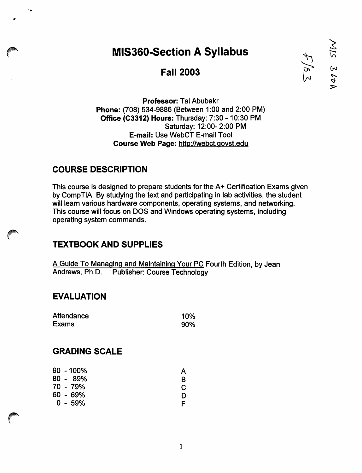# *MIS360-Section ASyllabus ^ |*

### *Fall 2003 f» £*

*Professor:* Tal Abubakr *Phone:* (708) 534-9886 (Between 1:00 and 2:00 PM) *Office (C3312) Hours:* Thursday: 7:30 -10:30 PM Saturday: 12:00- 2:00 PM *E-mail:* Use WebCT E-mail Tool *Course Web Page:* http://webct.qovst.edu

#### *COURSE DESCRIPTION*

This course is designed to prepare students for the A+ Certification Exams given by CompTIA. By studying the text and participating in lab activities, the student will learn various hardware components, operating systems, and networking. This course will focus on DOS and Windows operating systems, including operating system commands.

#### *TEXTBOOK AND SUPPLIES*

A Guide To Managing and Maintaining Your PC Fourth Edition, by Jean<br>Andrews, Ph.D. Publisher: Course Technology Publisher: Course Technology

#### *EVALUATION*

| Attendance | 10% |
|------------|-----|
| Exams      | 90% |

#### *GRADING SCALE*

*r*

|  | $90 - 100\%$ | Α |
|--|--------------|---|
|  | 80 - 89%     | R |
|  | 70 - 79%     |   |
|  | 60 - 69%     | D |
|  | $0 - 59%$    |   |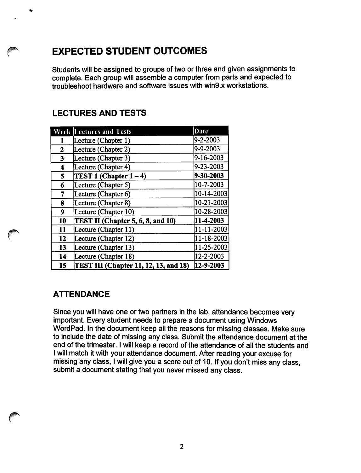## *EXPECTED STUDENT OUTCOMES*

*Students will be assigned to groups of two or three and given assignments to complete. Each group will assemble a computer from parts and expected to troubleshoot hardware and software issues with win9.x workstations.*

#### *LECTURES AND TESTS*

|    | <b>Week Lectures and Tests</b>        | Date       |
|----|---------------------------------------|------------|
|    | Lecture (Chapter 1)                   | 9-2-2003   |
| 2  | Lecture (Chapter 2)                   | 9-9-2003   |
| 3  | Lecture (Chapter 3)                   | 9-16-2003  |
| 4  | Lecture (Chapter 4)                   | 9-23-2003  |
| 5  | TEST 1 (Chapter $1-4$ )               | 9-30-2003  |
| 6  | Lecture (Chapter 5)                   | 10-7-2003  |
| 7  | Lecture (Chapter 6)                   | 10-14-2003 |
| 8  | Lecture (Chapter 8)                   | 10-21-2003 |
| 9  | Lecture (Chapter 10)                  | 10-28-2003 |
| 10 | TEST II (Chapter 5, 6, 8, and 10)     | 11-4-2003  |
| 11 | Lecture (Chapter 11)                  | 11-11-2003 |
| 12 | Lecture (Chapter 12)                  | 11-18-2003 |
| 13 | Lecture (Chapter 13)                  | 11-25-2003 |
| 14 | Lecture (Chapter 18)                  | 12-2-2003  |
| 15 | TEST III (Chapter 11, 12, 13, and 18) | 12-9-2003  |

#### *ATTENDANCE*

*/i^\*

*Since you will have one or two partners in the lab, attendance becomes very important. Every student needs to prepare a document using Windows WordPad. In the document keep all the reasons for missing classes. Make sure to include the date of missing any class. Submit the attendance document at the end of the trimester. Iwill keep a record of the attendance of all the students and Iwill match itwith your attendance document. After reading your excuse for missing any class, Iwill give you a score out of 10. If you don't miss any class, submit a document stating that you never missed any class.*